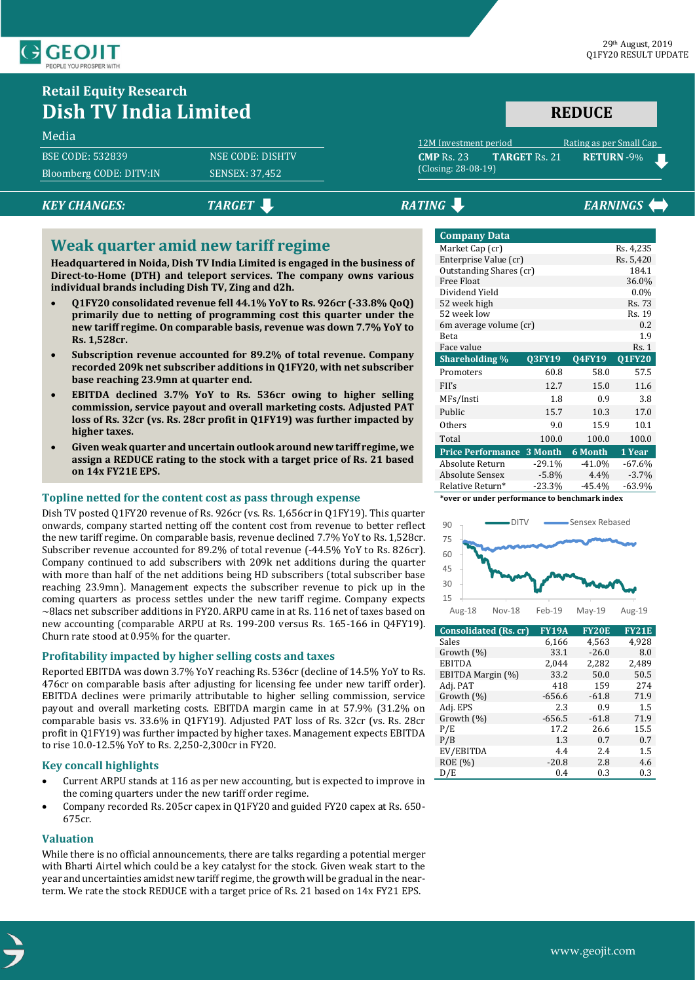

# **Retail Equity Research Dish TV India Limited**

### Media

| Bloomberg CODE: DITV:IN<br>SENSEX: 37,452 | <b>BSE CODE: 532839</b> | <b>NSE CODE: DISHTV</b> |
|-------------------------------------------|-------------------------|-------------------------|
|                                           |                         |                         |

# *KEY CHANGES:* TARGET **RATING EXAMPLE EARNINGS**

(Closing: 28-08-19)

# **Weak quarter amid new tariff regime**

**Headquartered in Noida, Dish TV India Limited is engaged in the business of Direct-to-Home (DTH) and teleport services. The company owns various individual brands including Dish TV, Zing and d2h.**

- **Q1FY20 consolidated revenue fell 44.1% YoY to Rs. 926cr (-33.8% QoQ) primarily due to netting of programming cost this quarter under the new tariff regime. On comparable basis, revenue was down 7.7% YoY to Rs. 1,528cr.**
- **Subscription revenue accounted for 89.2% of total revenue. Company recorded 209k net subscriber additions in Q1FY20, with net subscriber base reaching 23.9mn at quarter end.**
- **EBITDA declined 3.7% YoY to Rs. 536cr owing to higher selling commission, service payout and overall marketing costs. Adjusted PAT loss of Rs. 32cr (vs. Rs. 28cr profit in Q1FY19) was further impacted by higher taxes.**
- **Given weak quarter and uncertain outlook around new tariff regime, we assign a REDUCE rating to the stock with a target price of Rs. 21 based on 14x FY21E EPS.**

## **Topline netted for the content cost as pass through expense**

Dish TV posted Q1FY20 revenue of Rs. 926cr (vs. Rs. 1,656cr in Q1FY19). This quarter onwards, company started netting off the content cost from revenue to better reflect the new tariff regime. On comparable basis, revenue declined 7.7% YoY to Rs. 1,528cr. Subscriber revenue accounted for 89.2% of total revenue (-44.5% YoY to Rs. 826cr). Company continued to add subscribers with 209k net additions during the quarter with more than half of the net additions being HD subscribers (total subscriber base reaching 23.9mn). Management expects the subscriber revenue to pick up in the coming quarters as process settles under the new tariff regime. Company expects ~8lacs net subscriber additions in FY20. ARPU came in at Rs. 116 net of taxes based on new accounting (comparable ARPU at Rs. 199-200 versus Rs. 165-166 in Q4FY19). Churn rate stood at 0.95% for the quarter.

## **Profitability impacted by higher selling costs and taxes**

Reported EBITDA was down 3.7% YoY reaching Rs. 536cr (decline of 14.5% YoY to Rs. 476cr on comparable basis after adjusting for licensing fee under new tariff order). EBITDA declines were primarily attributable to higher selling commission, service payout and overall marketing costs. EBITDA margin came in at 57.9% (31.2% on comparable basis vs. 33.6% in Q1FY19). Adjusted PAT loss of Rs. 32cr (vs. Rs. 28cr profit in Q1FY19) was further impacted by higher taxes. Management expects EBITDA to rise 10.0-12.5% YoY to Rs. 2,250-2,300cr in FY20.

## **Key concall highlights**

- Current ARPU stands at 116 as per new accounting, but is expected to improve in the coming quarters under the new tariff order regime.
- Company recorded Rs. 205cr capex in Q1FY20 and guided FY20 capex at Rs. 650- 675cr.

### **Valuation**

While there is no official announcements, there are talks regarding a potential merger with Bharti Airtel which could be a key catalyst for the stock. Given weak start to the year and uncertainties amidst new tariff regime, the growth will be gradual in the nearterm. We rate the stock REDUCE with a target price of Rs. 21 based on 14x FY21 EPS.

| <b>Company Data</b>      |          |               |               |
|--------------------------|----------|---------------|---------------|
| Market Cap (cr)          |          |               | Rs. 4,235     |
| Enterprise Value (cr)    |          |               | Rs. 5,420     |
| Outstanding Shares (cr)  |          |               | 184.1         |
| Free Float               |          |               | 36.0%         |
| Dividend Yield           |          |               | $0.0\%$       |
| 52 week high             |          |               | Rs. 73        |
| 52 week low              |          |               | Rs. 19        |
| 6m average volume (cr)   |          |               | 0.2           |
| Beta                     |          |               | 1.9           |
| Face value               |          |               | Rs.1          |
| <b>Shareholding</b> %    | Q3FY19   | <b>Q4FY19</b> | <b>Q1FY20</b> |
| Promoters                | 60.8     | 58.0          | 57.5          |
| FII's                    | 12.7     | 15.0          | 11.6          |
| MFs/Insti                | 1.8      | 0.9           | 3.8           |
| Public                   | 15.7     | 10.3          | 17.0          |
| Others                   | 9.0      | 15.9          | 10.1          |
| Total                    | 100.0    | 100.0         | 100.0         |
| <b>Price Performance</b> | 3 Month  | 6 Month       | 1 Year        |
| Absolute Return          | $-29.1%$ | $-41.0%$      | $-67.6%$      |
|                          |          |               |               |
| <b>Absolute Sensex</b>   | $-5.8\%$ | 4.4%          | $-3.7%$       |

12M Investment period Rating as per Small Cap **CMP** Rs. 23 **TARGET** Rs. 21 **RETURN** -9%

**REDUCE**

**\*over or under performance to benchmark index**



| <b>Consolidated (Rs. cr)</b> | <b>FY19A</b> | <b>FY20E</b> | <b>FY21E</b> |
|------------------------------|--------------|--------------|--------------|
| Sales                        | 6,166        | 4,563        | 4,928        |
| Growth $(\%)$                | 33.1         | $-26.0$      | 8.0          |
| <b>EBITDA</b>                | 2,044        | 2,282        | 2,489        |
| EBITDA Margin (%)            | 33.2         | 50.0         | 50.5         |
| Adj. PAT                     | 418          | 159          | 274          |
| Growth $(\%)$                | $-656.6$     | $-61.8$      | 71.9         |
| Adj. EPS                     | 2.3          | 0.9          | 1.5          |
| Growth $(\%)$                | $-656.5$     | $-61.8$      | 71.9         |
| P/E                          | 17.2         | 26.6         | 15.5         |
| P/B                          | 1.3          | 0.7          | 0.7          |
| EV/EBITDA                    | 4.4          | 2.4          | 1.5          |
| ROE (%)                      | $-20.8$      | 2.8          | 4.6          |
| D/E                          | 0.4          | 0.3          | 0.3          |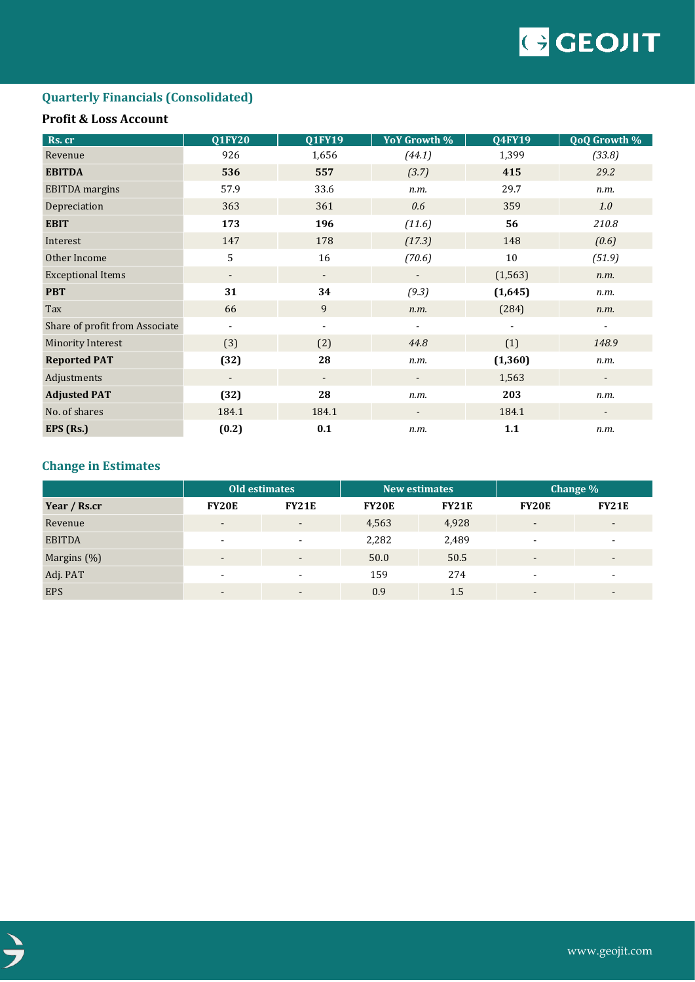

# **Quarterly Financials (Consolidated)**

# **Profit & Loss Account**

| Rs. cr                         | <b>Q1FY20</b>                | <b>Q1FY19</b>            | YoY Growth %             | <b>Q4FY19</b> | <b>QoQ Growth %</b>      |
|--------------------------------|------------------------------|--------------------------|--------------------------|---------------|--------------------------|
| Revenue                        | 926                          | 1,656                    | (44.1)                   | 1,399         | (33.8)                   |
| <b>EBITDA</b>                  | 536                          | 557                      | (3.7)                    | 415           | 29.2                     |
| <b>EBITDA</b> margins          | 57.9                         | 33.6                     | n.m.                     | 29.7          | n.m.                     |
| Depreciation                   | 363                          | 361                      | 0.6                      | 359           | 1.0                      |
| <b>EBIT</b>                    | 173                          | 196                      | (11.6)                   | 56            | 210.8                    |
| Interest                       | 147                          | 178                      | (17.3)                   | 148           | (0.6)                    |
| Other Income                   | 5                            | 16                       | (70.6)                   | 10            | (51.9)                   |
| <b>Exceptional Items</b>       | $\overline{\phantom{a}}$     | $\overline{\phantom{a}}$ |                          | (1, 563)      | n.m.                     |
| <b>PBT</b>                     | 31                           | 34                       | (9.3)                    | (1,645)       | n.m.                     |
| Tax                            | 66                           | 9                        | n.m.                     | (284)         | n.m.                     |
| Share of profit from Associate | $\qquad \qquad \blacksquare$ | $\overline{\phantom{a}}$ | ۰                        |               | -                        |
| <b>Minority Interest</b>       | (3)                          | (2)                      | 44.8                     | (1)           | 148.9                    |
| <b>Reported PAT</b>            | (32)                         | 28                       | n.m.                     | (1, 360)      | n.m.                     |
| Adjustments                    | $\overline{\phantom{a}}$     | $\overline{\phantom{a}}$ | $\overline{\phantom{a}}$ | 1,563         | $\overline{\phantom{a}}$ |
| <b>Adjusted PAT</b>            | (32)                         | 28                       | n.m.                     | 203           | n.m.                     |
| No. of shares                  | 184.1                        | 184.1                    |                          | 184.1         |                          |
| EPS (Rs.)                      | (0.2)                        | 0.1                      | n.m.                     | 1.1           | n.m.                     |

# **Change in Estimates**

|               | <b>Old estimates</b>     |                          | <b>New estimates</b> |              | Change %                 |                          |
|---------------|--------------------------|--------------------------|----------------------|--------------|--------------------------|--------------------------|
| Year / Rs.cr  | <b>FY20E</b>             | FY21E                    | <b>FY20E</b>         | <b>FY21E</b> | <b>FY20E</b>             | <b>FY21E</b>             |
| Revenue       | $\blacksquare$           | $\overline{\phantom{a}}$ | 4,563                | 4,928        | $\overline{\phantom{a}}$ | $\overline{\phantom{0}}$ |
| <b>EBITDA</b> | $\overline{\phantom{0}}$ | $\overline{\phantom{a}}$ | 2,282                | 2,489        | $\sim$                   | ۰                        |
| Margins (%)   | $\blacksquare$           | $\overline{\phantom{a}}$ | 50.0                 | 50.5         | $\overline{\phantom{a}}$ | $\overline{\phantom{0}}$ |
| Adj. PAT      | -                        | $\overline{\phantom{a}}$ | 159                  | 274          | $\overline{\phantom{a}}$ | $\overline{\phantom{0}}$ |
| <b>EPS</b>    | $\blacksquare$           | $\overline{\phantom{0}}$ | 0.9                  | 1.5          | $\overline{\phantom{a}}$ | $\overline{\phantom{a}}$ |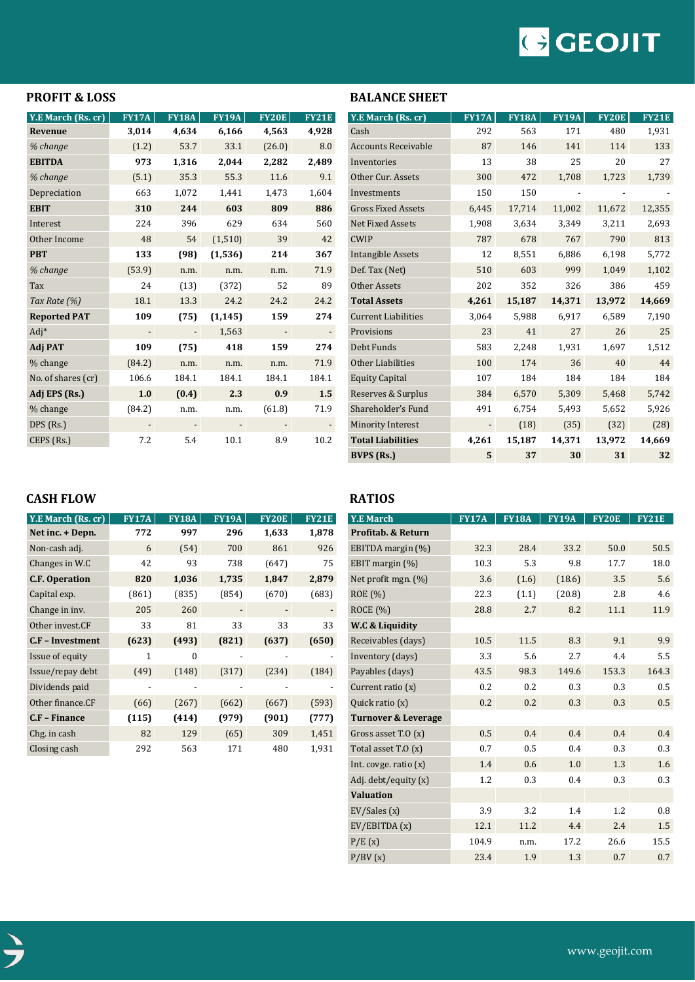# GCEOIIT

# **PROFIT & LOSS**

| Y.E March (Rs. cr)  | <b>FY17A</b> | <b>FY18A</b> | <b>FY19A</b> | <b>FY20E</b> | <b>FY21E</b> |
|---------------------|--------------|--------------|--------------|--------------|--------------|
| Revenue             | 3,014        | 4,634        | 6,166        | 4,563        | 4,928        |
| % change            | (1.2)        | 53.7         | 33.1         | (26.0)       | 8.0          |
| <b>EBITDA</b>       | 973          | 1,316        | 2,044        | 2,282        | 2,489        |
| % change            | (5.1)        | 35.3         | 55.3         | 11.6         | 9.1          |
| Depreciation        | 663          | 1,072        | 1,441        | 1,473        | 1,604        |
| <b>EBIT</b>         | 310          | 244          | 603          | 809          | 886          |
| Interest            | 224          | 396          | 629          | 634          | 560          |
| Other Income        | 48           | 54           | (1,510)      | 39           | 42           |
| <b>PBT</b>          | 133          | (98)         | (1,536)      | 214          | 367          |
| % change            | (53.9)       | n.m.         | n.m.         | n.m.         | 71.9         |
| Tax                 | 24           | (13)         | (372)        | 52           | 89           |
| Tax Rate (%)        | 18.1         | 13.3         | 24.2         | 24.2         | 24.2         |
| <b>Reported PAT</b> | 109          | (75)         | (1, 145)     | 159          | 274          |
| Adj*                |              |              | 1,563        |              |              |
| Adj PAT             | 109          | (75)         | 418          | 159          | 274          |
| % change            | (84.2)       | n.m.         | n.m.         | n.m.         | 71.9         |
| No. of shares (cr)  | 106.6        | 184.1        | 184.1        | 184.1        | 184.1        |
| Adj EPS (Rs.)       | 1.0          | (0.4)        | 2.3          | 0.9          | 1.5          |
| % change            | (84.2)       | n.m.         | n.m.         | (61.8)       | 71.9         |
| DPS (Rs.)           |              |              |              |              |              |
| CEPS (Rs.)          | 7.2          | 5.4          | 10.1         | 8.9          | 10.2         |

| Y.E March (Rs. cr)         | <b>FY17A</b> | <b>FY18A</b> | <b>FY19A</b> | <b>FY20E</b> | <b>FY21E</b> |
|----------------------------|--------------|--------------|--------------|--------------|--------------|
| Cash                       | 292          | 563          | 171          | 480          | 1,931        |
| <b>Accounts Receivable</b> | 87           | 146          | 141          | 114          | 133          |
| Inventories                | 13           | 38           | 25           | 20           | 27           |
| Other Cur. Assets          | 300          | 472          | 1,708        | 1,723        | 1,739        |
| Investments                | 150          | 150          |              |              |              |
| <b>Gross Fixed Assets</b>  | 6,445        | 17,714       | 11,002       | 11,672       | 12,355       |
| <b>Net Fixed Assets</b>    | 1,908        | 3,634        | 3,349        | 3,211        | 2,693        |
| <b>CWIP</b>                | 787          | 678          | 767          | 790          | 813          |
| <b>Intangible Assets</b>   | 12           | 8,551        | 6,886        | 6,198        | 5,772        |
| Def. Tax (Net)             | 510          | 603          | 999          | 1,049        | 1,102        |
| Other Assets               | 202          | 352          | 326          | 386          | 459          |
| <b>Total Assets</b>        | 4,261        | 15,187       | 14,371       | 13,972       | 14,669       |
| <b>Current Liabilities</b> | 3,064        | 5,988        | 6,917        | 6,589        | 7,190        |
| Provisions                 | 23           | 41           | 27           | 26           | 25           |
| Debt Funds                 | 583          | 2,248        | 1,931        | 1,697        | 1,512        |
| Other Liabilities          | 100          | 174          | 36           | 40           | 44           |
| <b>Equity Capital</b>      | 107          | 184          | 184          | 184          | 184          |
| Reserves & Surplus         | 384          | 6,570        | 5,309        | 5,468        | 5,742        |
| Shareholder's Fund         | 491          | 6,754        | 5,493        | 5,652        | 5,926        |
| <b>Minority Interest</b>   |              | (18)         | (35)         | (32)         | (28)         |
| <b>Total Liabilities</b>   | 4,261        | 15,187       | 14,371       | 13,972       | 14,669       |
| <b>BVPS</b> (Rs.)          | 5            | 37           | 30           | 31           | 32           |

# **CASH FLOW**

| Y.E March (Rs. cr)    | <b>FY17A</b> | <b>FY18A</b> | <b>FY19A</b> | <b>FY20E</b> | <b>FY21E</b> |
|-----------------------|--------------|--------------|--------------|--------------|--------------|
| Net inc. + Depn.      | 772          | 997          | 296          | 1,633        | 1,878        |
| Non-cash adj.         | 6            | (54)         | 700          | 861          | 926          |
| Changes in W.C        | 42           | 93           | 738          | (647)        | 75           |
| <b>C.F. Operation</b> | 820          | 1,036        | 1,735        | 1,847        | 2,879        |
| Capital exp.          | (861)        | (835)        | (854)        | (670)        | (683)        |
| Change in inv.        | 205          | 260          |              |              |              |
| Other invest.CF       | 33           | 81           | 33           | 33           | 33           |
| C.F - Investment      | (623)        | (493)        | (821)        | (637)        | (650)        |
| Issue of equity       | 1            | $\Omega$     |              |              |              |
| Issue/repay debt      | (49)         | (148)        | (317)        | (234)        | (184)        |
| Dividends paid        |              |              |              |              |              |
| Other finance.CF      | (66)         | (267)        | (662)        | (667)        | (593)        |
| C.F - Finance         | (115)        | (414)        | (979)        | (901)        | (777)        |
| Chg. in cash          | 82           | 129          | (65)         | 309          | 1,451        |
| Closing cash          | 292          | 563          | 171          | 480          | 1,931        |

# **RATIOS**

**BALANCE SHEET**

| <b>Y.E March</b>               | <b>FY17A</b> | <b>FY18A</b> | <b>FY19A</b> | <b>FY20E</b> | <b>FY21E</b> |
|--------------------------------|--------------|--------------|--------------|--------------|--------------|
| <b>Profitab. &amp; Return</b>  |              |              |              |              |              |
| EBITDA margin (%)              | 32.3         | 28.4         | 33.2         | 50.0         | 50.5         |
| EBIT margin (%)                | 10.3         | 5.3          | 9.8          | 17.7         | 18.0         |
| Net profit mgn. (%)            | 3.6          | (1.6)        | (18.6)       | 3.5          | 5.6          |
| <b>ROE</b> (%)                 | 22.3         | (1.1)        | (20.8)       | 2.8          | 4.6          |
| <b>ROCE</b> (%)                | 28.8         | 2.7          | 8.2          | 11.1         | 11.9         |
| W.C & Liquidity                |              |              |              |              |              |
| Receivables (days)             | 10.5         | 11.5         | 8.3          | 9.1          | 9.9          |
| Inventory (days)               | 3.3          | 5.6          | 2.7          | 4.4          | 5.5          |
| Payables (days)                | 43.5         | 98.3         | 149.6        | 153.3        | 164.3        |
| Current ratio (x)              | 0.2          | 0.2          | 0.3          | 0.3          | 0.5          |
| Quick ratio (x)                | 0.2          | 0.2          | 0.3          | 0.3          | 0.5          |
| <b>Turnover &amp; Leverage</b> |              |              |              |              |              |
| Gross asset $T.0(x)$           | 0.5          | 0.4          | 0.4          | 0.4          | 0.4          |
| Total asset T.O (x)            | 0.7          | 0.5          | 0.4          | 0.3          | 0.3          |
| Int. covge. ratio $(x)$        | 1.4          | 0.6          | 1.0          | 1.3          | 1.6          |
| Adj. debt/equity (x)           | 1.2          | 0.3          | 0.4          | 0.3          | 0.3          |
| <b>Valuation</b>               |              |              |              |              |              |
| EV/Sales(x)                    | 3.9          | 3.2          | 1.4          | 1.2          | 0.8          |
| EV/EBITDA (x)                  | 12.1         | 11.2         | 4.4          | 2.4          | 1.5          |
| P/E(x)                         | 104.9        | n.m.         | 17.2         | 26.6         | 15.5         |
| P/BV(x)                        | 23.4         | 1.9          | 1.3          | 0.7          | 0.7          |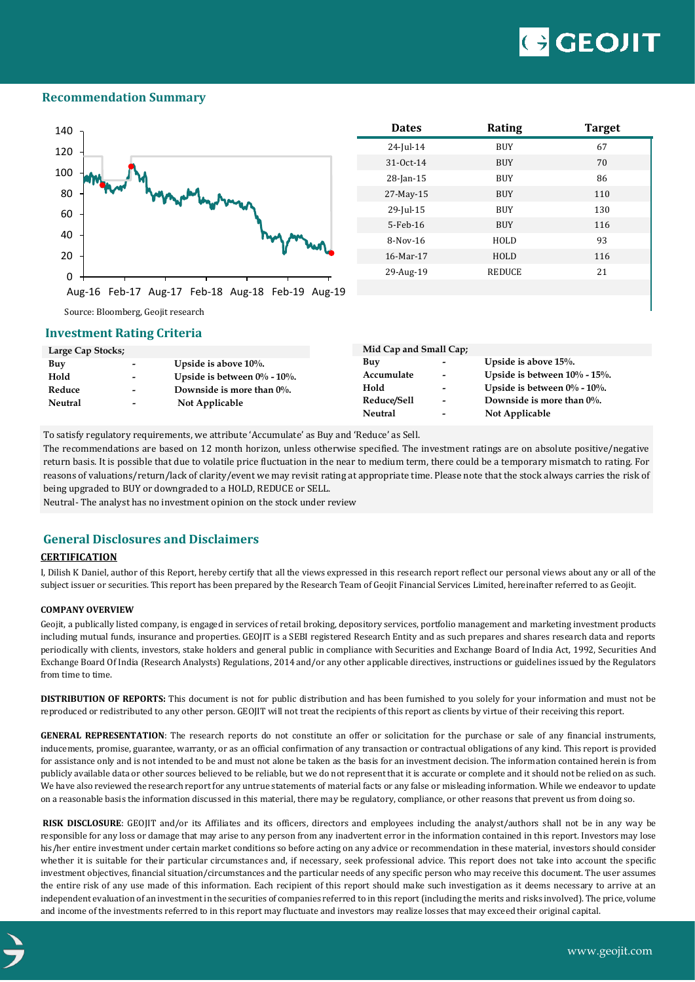# **GEOJIT**

### **Recommendation Summary**



| <b>Dates</b> | <b>Rating</b> | <b>Target</b> |
|--------------|---------------|---------------|
| $24$ -Jul-14 | <b>BUY</b>    | 67            |
| 31-Oct-14    | <b>BUY</b>    | 70            |
| $28$ -Jan-15 | <b>BUY</b>    | 86            |
| 27-May-15    | <b>BUY</b>    | 110           |
| 29-Jul-15    | <b>BUY</b>    | 130           |
| 5-Feb-16     | <b>BUY</b>    | 116           |
| $8-Nov-16$   | HOLD          | 93            |
| 16-Mar-17    | HOLD          | 116           |
| 29-Aug-19    | <b>REDUCE</b> | 21            |
|              |               |               |

Source: Bloomberg, Geojit research

### **Investment Rating Criteria**

| Large Cap Stocks; |                          |                                    | Mid Cap and Small Cap; |                          |                                     |
|-------------------|--------------------------|------------------------------------|------------------------|--------------------------|-------------------------------------|
| Buy               | $\sim$                   | Upside is above $10\%$ .           | Buy                    | $\,$                     | Upside is above $15%$ .             |
| Hold              | $\overline{\phantom{0}}$ | Upside is between $0\%$ - $10\%$ . | Accumulate             | $\overline{\phantom{a}}$ | Upside is between $10\%$ - $15\%$ . |
| Reduce            | $\overline{\phantom{0}}$ | Downside is more than $0\%$ .      | Hold                   | $\overline{\phantom{a}}$ | Upside is between $0\%$ - $10\%$ .  |
| <b>Neutral</b>    | $\overline{\phantom{a}}$ | Not Applicable                     | Reduce/Sell            | $\overline{\phantom{a}}$ | Downside is more than $0\%$ .       |
|                   |                          |                                    | Neutral                | $\overline{\phantom{0}}$ | Not Applicable                      |

To satisfy regulatory requirements, we attribute 'Accumulate' as Buy and 'Reduce' as Sell.

The recommendations are based on 12 month horizon, unless otherwise specified. The investment ratings are on absolute positive/negative return basis. It is possible that due to volatile price fluctuation in the near to medium term, there could be a temporary mismatch to rating. For reasons of valuations/return/lack of clarity/event we may revisit rating at appropriate time. Please note that the stock always carries the risk of being upgraded to BUY or downgraded to a HOLD, REDUCE or SELL.

Neutral- The analyst has no investment opinion on the stock under review

# **General Disclosures and Disclaimers**

#### **CERTIFICATION**

I, Dilish K Daniel, author of this Report, hereby certify that all the views expressed in this research report reflect our personal views about any or all of the subject issuer or securities. This report has been prepared by the Research Team of Geojit Financial Services Limited, hereinafter referred to as Geojit.

#### **COMPANY OVERVIEW**

Geojit, a publically listed company, is engaged in services of retail broking, depository services, portfolio management and marketing investment products including mutual funds, insurance and properties. GEOJIT is a SEBI registered Research Entity and as such prepares and shares research data and reports periodically with clients, investors, stake holders and general public in compliance with Securities and Exchange Board of India Act, 1992, Securities And Exchange Board Of India (Research Analysts) Regulations, 2014 and/or any other applicable directives, instructions or guidelines issued by the Regulators from time to time.

**DISTRIBUTION OF REPORTS:** This document is not for public distribution and has been furnished to you solely for your information and must not be reproduced or redistributed to any other person. GEOJIT will not treat the recipients of this report as clients by virtue of their receiving this report.

**GENERAL REPRESENTATION**: The research reports do not constitute an offer or solicitation for the purchase or sale of any financial instruments, inducements, promise, guarantee, warranty, or as an official confirmation of any transaction or contractual obligations of any kind. This report is provided for assistance only and is not intended to be and must not alone be taken as the basis for an investment decision. The information contained herein is from publicly available data or other sources believed to be reliable, but we do not represent that it is accurate or complete and it should not be relied on as such. We have also reviewed the research report for any untrue statements of material facts or any false or misleading information. While we endeavor to update on a reasonable basis the information discussed in this material, there may be regulatory, compliance, or other reasons that prevent us from doing so.

**RISK DISCLOSURE**: GEOJIT and/or its Affiliates and its officers, directors and employees including the analyst/authors shall not be in any way be responsible for any loss or damage that may arise to any person from any inadvertent error in the information contained in this report. Investors may lose his/her entire investment under certain market conditions so before acting on any advice or recommendation in these material, investors should consider whether it is suitable for their particular circumstances and, if necessary, seek professional advice. This report does not take into account the specific investment objectives, financial situation/circumstances and the particular needs of any specific person who may receive this document. The user assumes the entire risk of any use made of this information. Each recipient of this report should make such investigation as it deems necessary to arrive at an independent evaluation of an investment in the securities of companies referred to in this report (including the merits and risks involved). The price, volume and income of the investments referred to in this report may fluctuate and investors may realize losses that may exceed their original capital.